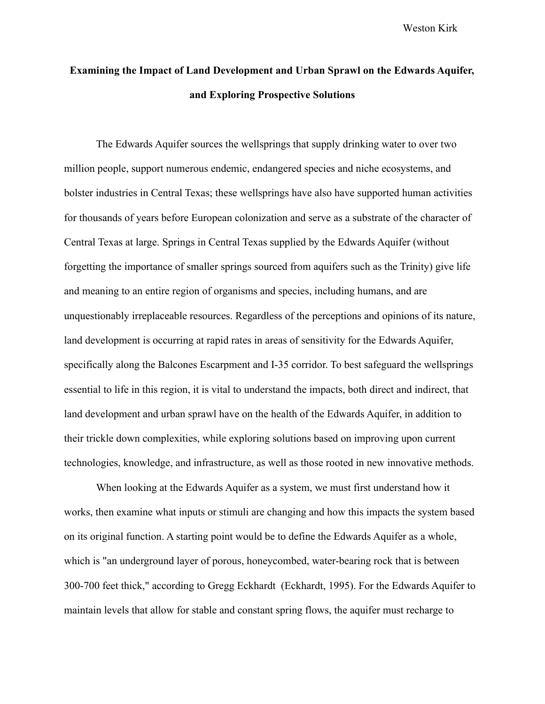Weston Kirk

## **Examining the Impact of Land Development and Urban Sprawl on the Edwards Aquifer, and Exploring Prospective Solutions**

The Edwards Aquifer sources the wellsprings that supply drinking water to over two million people, support numerous endemic, endangered species and niche ecosystems, and bolster industries in Central Texas; these wellsprings have also have supported human activities for thousands of years before European colonization and serve as a substrate of the character of Central Texas at large. Springs in Central Texas supplied by the Edwards Aquifer (without forgetting the importance of smaller springs sourced from aquifers such as the Trinity) give life and meaning to an entire region of organisms and species, including humans, and are unquestionably irreplaceable resources. Regardless of the perceptions and opinions of its nature, land development is occurring at rapid rates in areas of sensitivity for the Edwards Aquifer, specifically along the Balcones Escarpment and I-35 corridor. To best safeguard the wellsprings essential to life in this region, it is vital to understand the impacts, both direct and indirect, that land development and urban sprawl have on the health of the Edwards Aquifer, in addition to their trickle down complexities, while exploring solutions based on improving upon current technologies, knowledge, and infrastructure, as well as those rooted in new innovative methods.

When looking at the Edwards Aquifer as a system, we must first understand how it works, then examine what inputs or stimuli are changing and how this impacts the system based on its original function. A starting point would be to define the Edwards Aquifer as a whole, which is "an underground layer of porous, honeycombed, water-bearing rock that is between 300-700 feet thick," according to Gregg Eckhardt (Eckhardt, 1995). For the Edwards Aquifer to maintain levels that allow for stable and constant spring flows, the aquifer must recharge to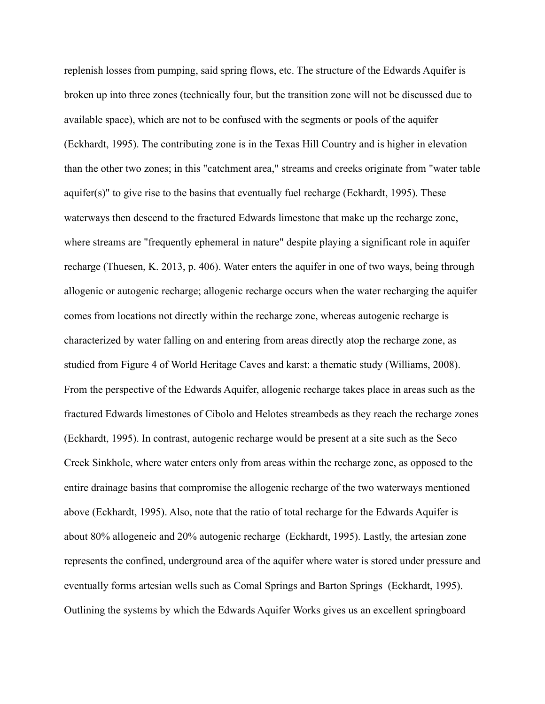replenish losses from pumping, said spring flows, etc. The structure of the Edwards Aquifer is broken up into three zones (technically four, but the transition zone will not be discussed due to available space), which are not to be confused with the segments or pools of the aquifer (Eckhardt, 1995). The contributing zone is in the Texas Hill Country and is higher in elevation than the other two zones; in this "catchment area," streams and creeks originate from "water table aquifer(s)" to give rise to the basins that eventually fuel recharge (Eckhardt, 1995). These waterways then descend to the fractured Edwards limestone that make up the recharge zone, where streams are "frequently ephemeral in nature" despite playing a significant role in aquifer recharge (Thuesen, K. 2013, p. 406). Water enters the aquifer in one of two ways, being through allogenic or autogenic recharge; allogenic recharge occurs when the water recharging the aquifer comes from locations not directly within the recharge zone, whereas autogenic recharge is characterized by water falling on and entering from areas directly atop the recharge zone, as studied from Figure 4 of World Heritage Caves and karst: a thematic study (Williams, 2008). From the perspective of the Edwards Aquifer, allogenic recharge takes place in areas such as the fractured Edwards limestones of Cibolo and Helotes streambeds as they reach the recharge zones (Eckhardt, 1995). In contrast, autogenic recharge would be present at a site such as the Seco Creek Sinkhole, where water enters only from areas within the recharge zone, as opposed to the entire drainage basins that compromise the allogenic recharge of the two waterways mentioned above (Eckhardt, 1995). Also, note that the ratio of total recharge for the Edwards Aquifer is about 80% allogeneic and 20% autogenic recharge (Eckhardt, 1995). Lastly, the artesian zone represents the confined, underground area of the aquifer where water is stored under pressure and eventually forms artesian wells such as Comal Springs and Barton Springs (Eckhardt, 1995). Outlining the systems by which the Edwards Aquifer Works gives us an excellent springboard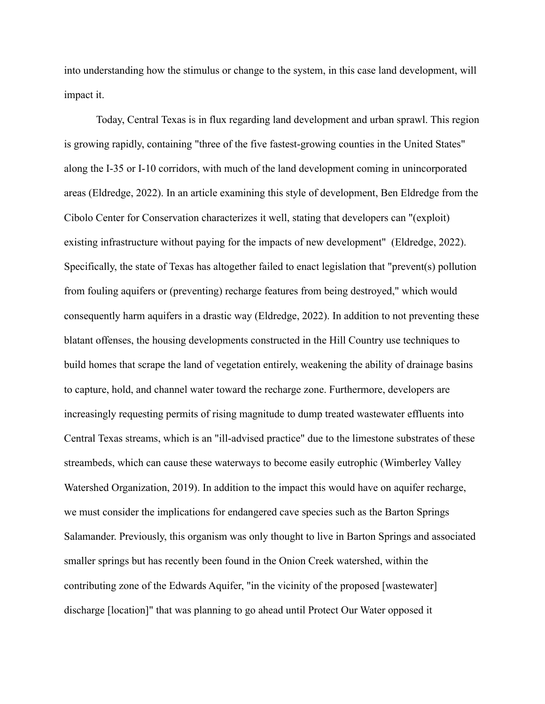into understanding how the stimulus or change to the system, in this case land development, will impact it.

Today, Central Texas is in flux regarding land development and urban sprawl. This region is growing rapidly, containing "three of the five fastest-growing counties in the United States" along the I-35 or I-10 corridors, with much of the land development coming in unincorporated areas (Eldredge, 2022). In an article examining this style of development, Ben Eldredge from the Cibolo Center for Conservation characterizes it well, stating that developers can "(exploit) existing infrastructure without paying for the impacts of new development" (Eldredge, 2022). Specifically, the state of Texas has altogether failed to enact legislation that "prevent(s) pollution from fouling aquifers or (preventing) recharge features from being destroyed," which would consequently harm aquifers in a drastic way (Eldredge, 2022). In addition to not preventing these blatant offenses, the housing developments constructed in the Hill Country use techniques to build homes that scrape the land of vegetation entirely, weakening the ability of drainage basins to capture, hold, and channel water toward the recharge zone. Furthermore, developers are increasingly requesting permits of rising magnitude to dump treated wastewater effluents into Central Texas streams, which is an "ill-advised practice" due to the limestone substrates of these streambeds, which can cause these waterways to become easily eutrophic (Wimberley Valley Watershed Organization, 2019). In addition to the impact this would have on aquifer recharge, we must consider the implications for endangered cave species such as the Barton Springs Salamander. Previously, this organism was only thought to live in Barton Springs and associated smaller springs but has recently been found in the Onion Creek watershed, within the contributing zone of the Edwards Aquifer, "in the vicinity of the proposed [wastewater] discharge [location]" that was planning to go ahead until Protect Our Water opposed it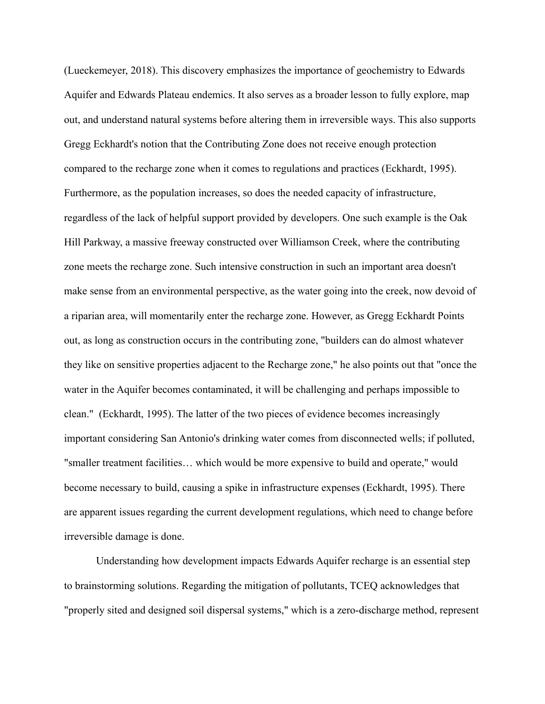(Lueckemeyer, 2018). This discovery emphasizes the importance of geochemistry to Edwards Aquifer and Edwards Plateau endemics. It also serves as a broader lesson to fully explore, map out, and understand natural systems before altering them in irreversible ways. This also supports Gregg Eckhardt's notion that the Contributing Zone does not receive enough protection compared to the recharge zone when it comes to regulations and practices (Eckhardt, 1995). Furthermore, as the population increases, so does the needed capacity of infrastructure, regardless of the lack of helpful support provided by developers. One such example is the Oak Hill Parkway, a massive freeway constructed over Williamson Creek, where the contributing zone meets the recharge zone. Such intensive construction in such an important area doesn't make sense from an environmental perspective, as the water going into the creek, now devoid of a riparian area, will momentarily enter the recharge zone. However, as Gregg Eckhardt Points out, as long as construction occurs in the contributing zone, "builders can do almost whatever they like on sensitive properties adjacent to the Recharge zone," he also points out that "once the water in the Aquifer becomes contaminated, it will be challenging and perhaps impossible to clean." (Eckhardt, 1995). The latter of the two pieces of evidence becomes increasingly important considering San Antonio's drinking water comes from disconnected wells; if polluted, "smaller treatment facilities… which would be more expensive to build and operate," would become necessary to build, causing a spike in infrastructure expenses (Eckhardt, 1995). There are apparent issues regarding the current development regulations, which need to change before irreversible damage is done.

Understanding how development impacts Edwards Aquifer recharge is an essential step to brainstorming solutions. Regarding the mitigation of pollutants, TCEQ acknowledges that "properly sited and designed soil dispersal systems," which is a zero-discharge method, represent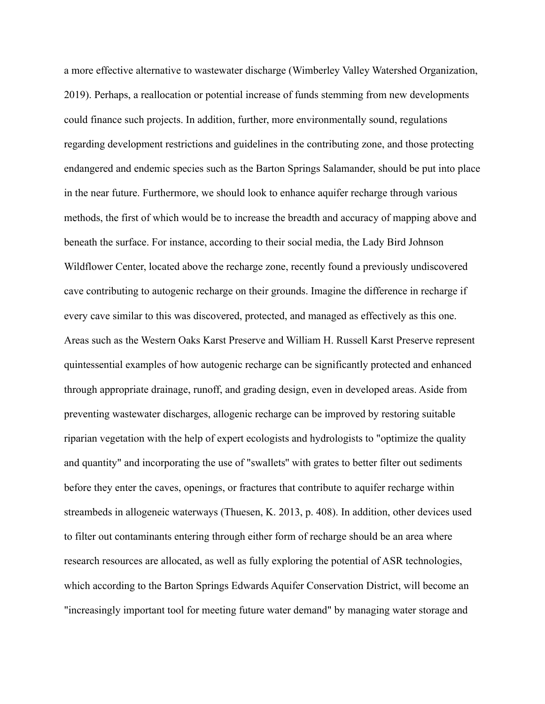a more effective alternative to wastewater discharge (Wimberley Valley Watershed Organization, 2019). Perhaps, a reallocation or potential increase of funds stemming from new developments could finance such projects. In addition, further, more environmentally sound, regulations regarding development restrictions and guidelines in the contributing zone, and those protecting endangered and endemic species such as the Barton Springs Salamander, should be put into place in the near future. Furthermore, we should look to enhance aquifer recharge through various methods, the first of which would be to increase the breadth and accuracy of mapping above and beneath the surface. For instance, according to their social media, the Lady Bird Johnson Wildflower Center, located above the recharge zone, recently found a previously undiscovered cave contributing to autogenic recharge on their grounds. Imagine the difference in recharge if every cave similar to this was discovered, protected, and managed as effectively as this one. Areas such as the Western Oaks Karst Preserve and William H. Russell Karst Preserve represent quintessential examples of how autogenic recharge can be significantly protected and enhanced through appropriate drainage, runoff, and grading design, even in developed areas. Aside from preventing wastewater discharges, allogenic recharge can be improved by restoring suitable riparian vegetation with the help of expert ecologists and hydrologists to "optimize the quality and quantity" and incorporating the use of "swallets'' with grates to better filter out sediments before they enter the caves, openings, or fractures that contribute to aquifer recharge within streambeds in allogeneic waterways (Thuesen, K. 2013, p. 408). In addition, other devices used to filter out contaminants entering through either form of recharge should be an area where research resources are allocated, as well as fully exploring the potential of ASR technologies, which according to the Barton Springs Edwards Aquifer Conservation District, will become an "increasingly important tool for meeting future water demand" by managing water storage and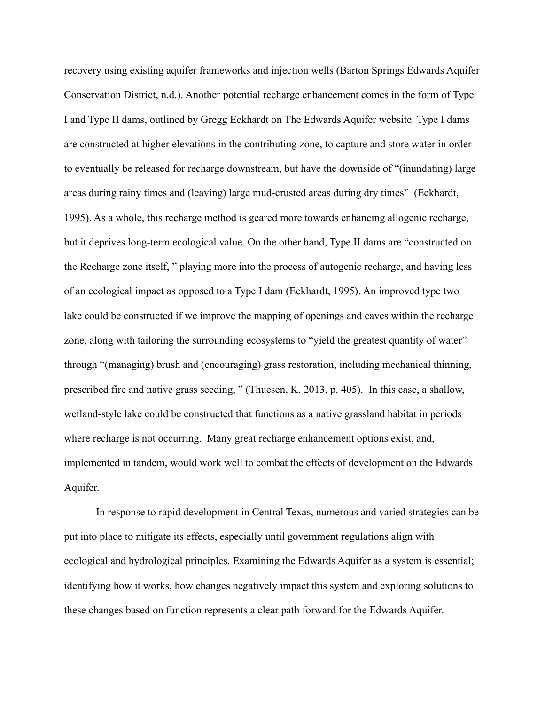recovery using existing aquifer frameworks and injection wells (Barton Springs Edwards Aquifer Conservation District, n.d.). Another potential recharge enhancement comes in the form of Type I and Type II dams, outlined by Gregg Eckhardt on The Edwards Aquifer website. Type I dams are constructed at higher elevations in the contributing zone, to capture and store water in order to eventually be released for recharge downstream, but have the downside of "(inundating) large areas during rainy times and (leaving) large mud-crusted areas during dry times" (Eckhardt, 1995). As a whole, this recharge method is geared more towards enhancing allogenic recharge, but it deprives long-term ecological value. On the other hand, Type II dams are "constructed on the Recharge zone itself, " playing more into the process of autogenic recharge, and having less of an ecological impact as opposed to a Type I dam (Eckhardt, 1995). An improved type two lake could be constructed if we improve the mapping of openings and caves within the recharge zone, along with tailoring the surrounding ecosystems to "yield the greatest quantity of water" through "(managing) brush and (encouraging) grass restoration, including mechanical thinning, prescribed fire and native grass seeding, " (Thuesen, K. 2013, p. 405). In this case, a shallow, wetland-style lake could be constructed that functions as a native grassland habitat in periods where recharge is not occurring. Many great recharge enhancement options exist, and, implemented in tandem, would work well to combat the effects of development on the Edwards Aquifer.

In response to rapid development in Central Texas, numerous and varied strategies can be put into place to mitigate its effects, especially until government regulations align with ecological and hydrological principles. Examining the Edwards Aquifer as a system is essential; identifying how it works, how changes negatively impact this system and exploring solutions to these changes based on function represents a clear path forward for the Edwards Aquifer.